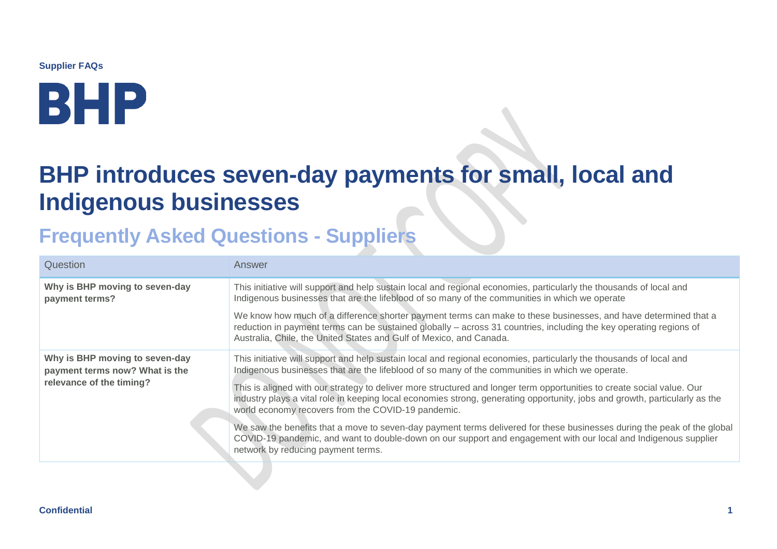**Supplier FAQs**

# BHP

## **BHP introduces seven-day payments for small, local and Indigenous businesses**

## **Frequently Asked Questions - Suppliers**

| Question                                                                                     | Answer                                                                                                                                                                                                                                                                                                       |
|----------------------------------------------------------------------------------------------|--------------------------------------------------------------------------------------------------------------------------------------------------------------------------------------------------------------------------------------------------------------------------------------------------------------|
| Why is BHP moving to seven-day<br>payment terms?                                             | This initiative will support and help sustain local and regional economies, particularly the thousands of local and<br>Indigenous businesses that are the lifeblood of so many of the communities in which we operate                                                                                        |
|                                                                                              | We know how much of a difference shorter payment terms can make to these businesses, and have determined that a<br>reduction in payment terms can be sustained globally - across 31 countries, including the key operating regions of<br>Australia, Chile, the United States and Gulf of Mexico, and Canada. |
| Why is BHP moving to seven-day<br>payment terms now? What is the<br>relevance of the timing? | This initiative will support and help sustain local and regional economies, particularly the thousands of local and<br>Indigenous businesses that are the lifeblood of so many of the communities in which we operate.                                                                                       |
|                                                                                              | This is aligned with our strategy to deliver more structured and longer term opportunities to create social value. Our<br>industry plays a vital role in keeping local economies strong, generating opportunity, jobs and growth, particularly as the<br>world economy recovers from the COVID-19 pandemic.  |
|                                                                                              | We saw the benefits that a move to seven-day payment terms delivered for these businesses during the peak of the global<br>COVID-19 pandemic, and want to double-down on our support and engagement with our local and Indigenous supplier<br>network by reducing payment terms.                             |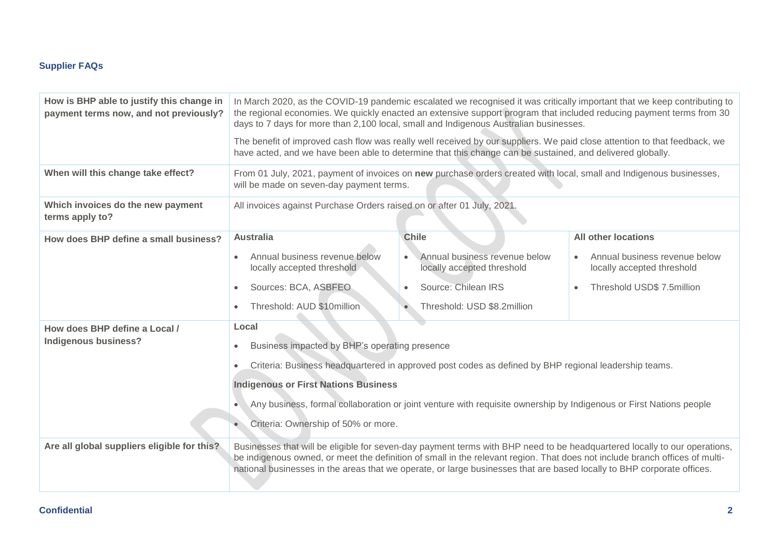### **Supplier FAQs**

| How is BHP able to justify this change in<br>payment terms now, and not previously? | In March 2020, as the COVID-19 pandemic escalated we recognised it was critically important that we keep contributing to<br>the regional economies. We quickly enacted an extensive support program that included reducing payment terms from 30<br>days to 7 days for more than 2,100 local, small and Indigenous Australian businesses.                                          |                                                             |                                                             |  |
|-------------------------------------------------------------------------------------|------------------------------------------------------------------------------------------------------------------------------------------------------------------------------------------------------------------------------------------------------------------------------------------------------------------------------------------------------------------------------------|-------------------------------------------------------------|-------------------------------------------------------------|--|
|                                                                                     | The benefit of improved cash flow was really well received by our suppliers. We paid close attention to that feedback, we<br>have acted, and we have been able to determine that this change can be sustained, and delivered globally.                                                                                                                                             |                                                             |                                                             |  |
| When will this change take effect?                                                  | From 01 July, 2021, payment of invoices on new purchase orders created with local, small and Indigenous businesses,<br>will be made on seven-day payment terms.                                                                                                                                                                                                                    |                                                             |                                                             |  |
| Which invoices do the new payment<br>terms apply to?                                | All invoices against Purchase Orders raised on or after 01 July, 2021.                                                                                                                                                                                                                                                                                                             |                                                             |                                                             |  |
| How does BHP define a small business?                                               | <b>Australia</b>                                                                                                                                                                                                                                                                                                                                                                   | <b>Chile</b>                                                | <b>All other locations</b>                                  |  |
|                                                                                     | Annual business revenue below<br>locally accepted threshold                                                                                                                                                                                                                                                                                                                        | Annual business revenue below<br>locally accepted threshold | Annual business revenue below<br>locally accepted threshold |  |
|                                                                                     | Sources: BCA, ASBFEO                                                                                                                                                                                                                                                                                                                                                               | Source: Chilean IRS                                         | Threshold USD\$ 7.5million<br>$\bullet$                     |  |
|                                                                                     | Threshold: AUD \$10million                                                                                                                                                                                                                                                                                                                                                         | Threshold: USD \$8.2million                                 |                                                             |  |
| How does BHP define a Local /                                                       | Local                                                                                                                                                                                                                                                                                                                                                                              |                                                             |                                                             |  |
| <b>Indigenous business?</b>                                                         | Business impacted by BHP's operating presence                                                                                                                                                                                                                                                                                                                                      |                                                             |                                                             |  |
|                                                                                     | Criteria: Business headquartered in approved post codes as defined by BHP regional leadership teams.<br>$\bullet$                                                                                                                                                                                                                                                                  |                                                             |                                                             |  |
|                                                                                     | <b>Indigenous or First Nations Business</b>                                                                                                                                                                                                                                                                                                                                        |                                                             |                                                             |  |
|                                                                                     | Any business, formal collaboration or joint venture with requisite ownership by Indigenous or First Nations people                                                                                                                                                                                                                                                                 |                                                             |                                                             |  |
|                                                                                     | Criteria: Ownership of 50% or more.                                                                                                                                                                                                                                                                                                                                                |                                                             |                                                             |  |
| Are all global suppliers eligible for this?                                         | Businesses that will be eligible for seven-day payment terms with BHP need to be headquartered locally to our operations,<br>be indigenous owned, or meet the definition of small in the relevant region. That does not include branch offices of multi-<br>national businesses in the areas that we operate, or large businesses that are based locally to BHP corporate offices. |                                                             |                                                             |  |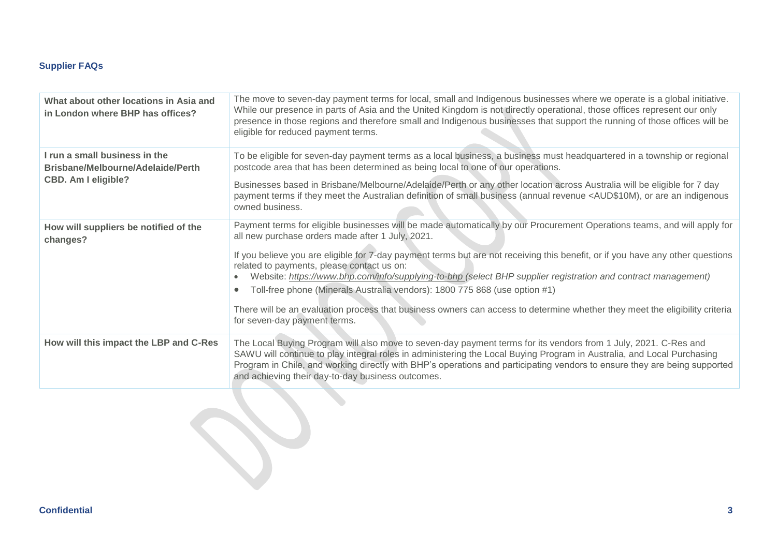### **Supplier FAQs**

| What about other locations in Asia and<br>in London where BHP has offices?                       | The move to seven-day payment terms for local, small and Indigenous businesses where we operate is a global initiative.<br>While our presence in parts of Asia and the United Kingdom is not directly operational, those offices represent our only<br>presence in those regions and therefore small and Indigenous businesses that support the running of those offices will be<br>eligible for reduced payment terms.     |
|--------------------------------------------------------------------------------------------------|-----------------------------------------------------------------------------------------------------------------------------------------------------------------------------------------------------------------------------------------------------------------------------------------------------------------------------------------------------------------------------------------------------------------------------|
| I run a small business in the<br>Brisbane/Melbourne/Adelaide/Perth<br><b>CBD. Am I eligible?</b> | To be eligible for seven-day payment terms as a local business, a business must headquartered in a township or regional<br>postcode area that has been determined as being local to one of our operations.                                                                                                                                                                                                                  |
|                                                                                                  | Businesses based in Brisbane/Melbourne/Adelaide/Perth or any other location across Australia will be eligible for 7 day<br>payment terms if they meet the Australian definition of small business (annual revenue <aud\$10m), an="" are="" indigenous<br="" or="">owned business.</aud\$10m),>                                                                                                                              |
| How will suppliers be notified of the<br>changes?                                                | Payment terms for eligible businesses will be made automatically by our Procurement Operations teams, and will apply for<br>all new purchase orders made after 1 July, 2021.                                                                                                                                                                                                                                                |
|                                                                                                  | If you believe you are eligible for 7-day payment terms but are not receiving this benefit, or if you have any other questions<br>related to payments, please contact us on:<br>Website: https://www.bhp.com/info/supplying-to-bhp (select BHP supplier registration and contract management)<br>Toll-free phone (Minerals Australia vendors): 1800 775 868 (use option #1)                                                 |
|                                                                                                  | There will be an evaluation process that business owners can access to determine whether they meet the eligibility criteria<br>for seven-day payment terms.                                                                                                                                                                                                                                                                 |
| How will this impact the LBP and C-Res                                                           | The Local Buying Program will also move to seven-day payment terms for its vendors from 1 July, 2021. C-Res and<br>SAWU will continue to play integral roles in administering the Local Buying Program in Australia, and Local Purchasing<br>Program in Chile, and working directly with BHP's operations and participating vendors to ensure they are being supported<br>and achieving their day-to-day business outcomes. |